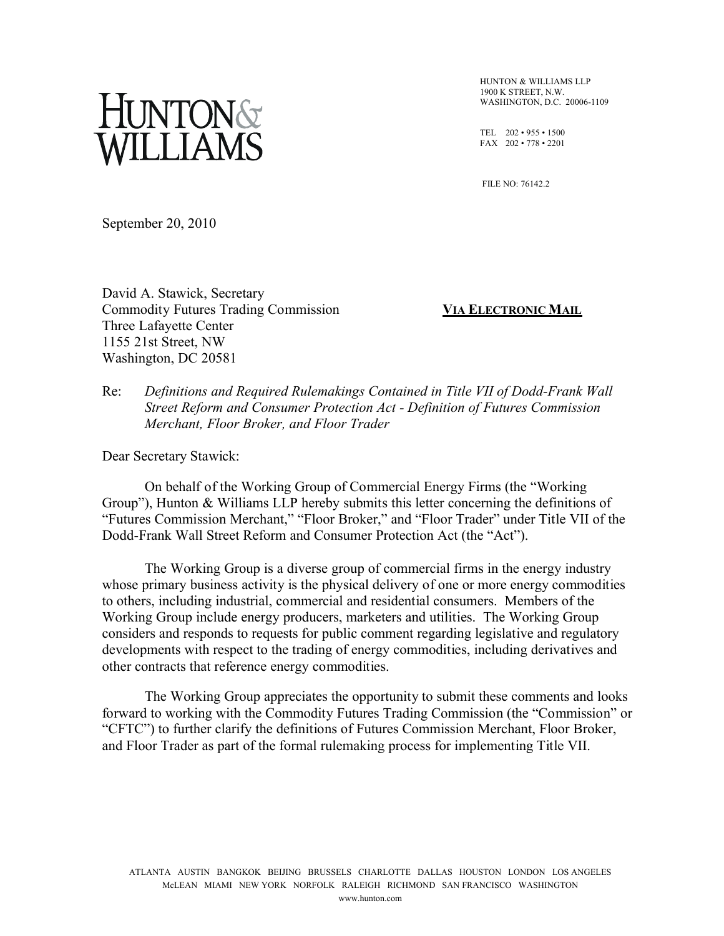# NTON&<br>LLIAMS

HUNTON & WILLIAMS LLP  $1900$  K STREET, N.W. WASHINGTON, D.C. 20006-1109

TEL 202 • 955 • 1500 FAX 202 • 778 • 2201

FILE NO: 76142.2

September 20, 2010

David A. Stawick, Secretary Commodity Futures Trading Commission **VIA ELECTRONIC MAIL** Three Lafayette Center 1155 21st Street, NW Washington, DC 20581

Re: *Definitions and Required Rulemakings Contained in Title VII of Dodd-Frank Wall Street Reform and Consumer Protection Act - Definition of Futures Commission Merchant, Floor Broker, and Floor Trader*

Dear Secretary Stawick:

On behalf of the Working Group of Commercial Energy Firms (the "Working Group"), Hunton & Williams LLP hereby submits this letter concerning the definitions of "Futures Commission Merchant," "Floor Broker," and "Floor Trader" under Title VII of the Dodd-Frank Wall Street Reform and Consumer Protection Act (the "Act").

The Working Group is a diverse group of commercial firms in the energy industry whose primary business activity is the physical delivery of one or more energy commodities to others, including industrial, commercial and residential consumers. Members of the Working Group include energy producers, marketers and utilities. The Working Group considers and responds to requests for public comment regarding legislative and regulatory developments with respect to the trading of energy commodities, including derivatives and other contracts that reference energy commodities.

The Working Group appreciates the opportunity to submit these comments and looks forward to working with the Commodity Futures Trading Commission (the "Commission" or "CFTC") to further clarify the definitions of Futures Commission Merchant, Floor Broker, and Floor Trader as part of the formal rulemaking process for implementing Title VII.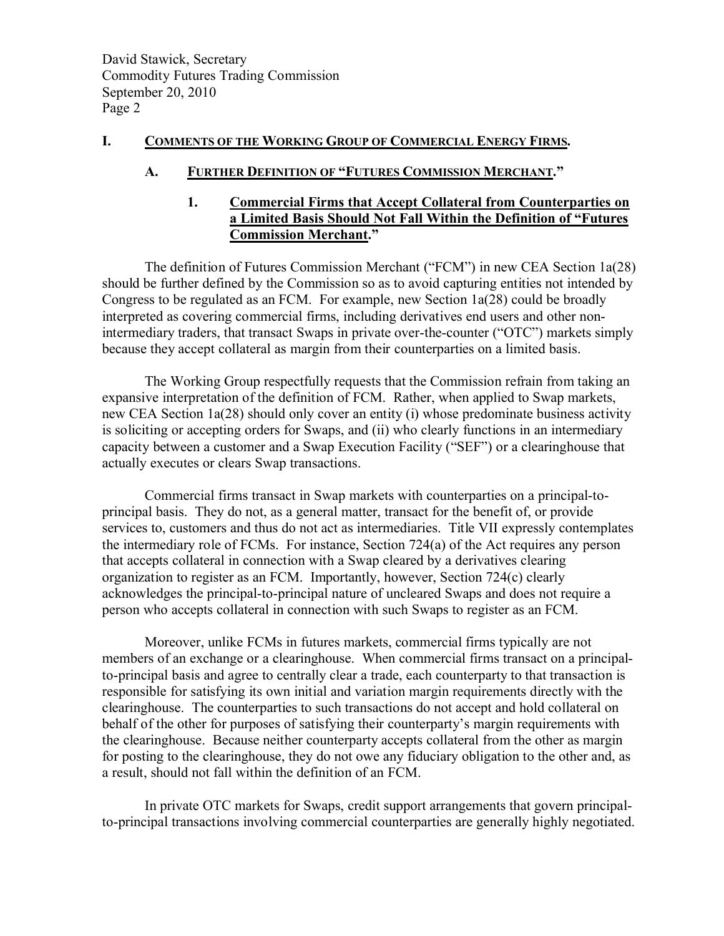## **I. COMMENTS OF THE WORKING GROUP OF COMMERCIAL ENERGY FIRMS.**

### **A. FURTHER DEFINITION OF "FUTURES COMMISSION MERCHANT."**

# **1. Commercial Firms that Accept Collateral from Counterparties on a Limited Basis Should Not Fall Within the Definition of "Futures Commission Merchant."**

The definition of Futures Commission Merchant ("FCM") in new CEA Section 1a(28) should be further defined by the Commission so as to avoid capturing entities not intended by Congress to be regulated as an FCM. For example, new Section 1a(28) could be broadly interpreted as covering commercial firms, including derivatives end users and other nonintermediary traders, that transact Swaps in private over-the-counter ("OTC") markets simply because they accept collateral as margin from their counterparties on a limited basis.

The Working Group respectfully requests that the Commission refrain from taking an expansive interpretation of the definition of FCM. Rather, when applied to Swap markets, new CEA Section 1a(28) should only cover an entity (i) whose predominate business activity is soliciting or accepting orders for Swaps, and (ii) who clearly functions in an intermediary capacity between a customer and a Swap Execution Facility ("SEF") or a clearinghouse that actually executes or clears Swap transactions.

Commercial firms transact in Swap markets with counterparties on a principal-toprincipal basis. They do not, as a general matter, transact for the benefit of, or provide services to, customers and thus do not act as intermediaries. Title VII expressly contemplates the intermediary role of FCMs. For instance, Section 724(a) of the Act requires any person that accepts collateral in connection with a Swap cleared by a derivatives clearing organization to register as an FCM. Importantly, however, Section 724(c) clearly acknowledges the principal-to-principal nature of uncleared Swaps and does not require a person who accepts collateral in connection with such Swaps to register as an FCM.

Moreover, unlike FCMs in futures markets, commercial firms typically are not members of an exchange or a clearinghouse. When commercial firms transact on a principalto-principal basis and agree to centrally clear a trade, each counterparty to that transaction is responsible for satisfying its own initial and variation margin requirements directly with the clearinghouse. The counterparties to such transactions do not accept and hold collateral on behalf of the other for purposes of satisfying their counterparty's margin requirements with the clearinghouse. Because neither counterparty accepts collateral from the other as margin for posting to the clearinghouse, they do not owe any fiduciary obligation to the other and, as a result, should not fall within the definition of an FCM.

In private OTC markets for Swaps, credit support arrangements that govern principalto-principal transactions involving commercial counterparties are generally highly negotiated.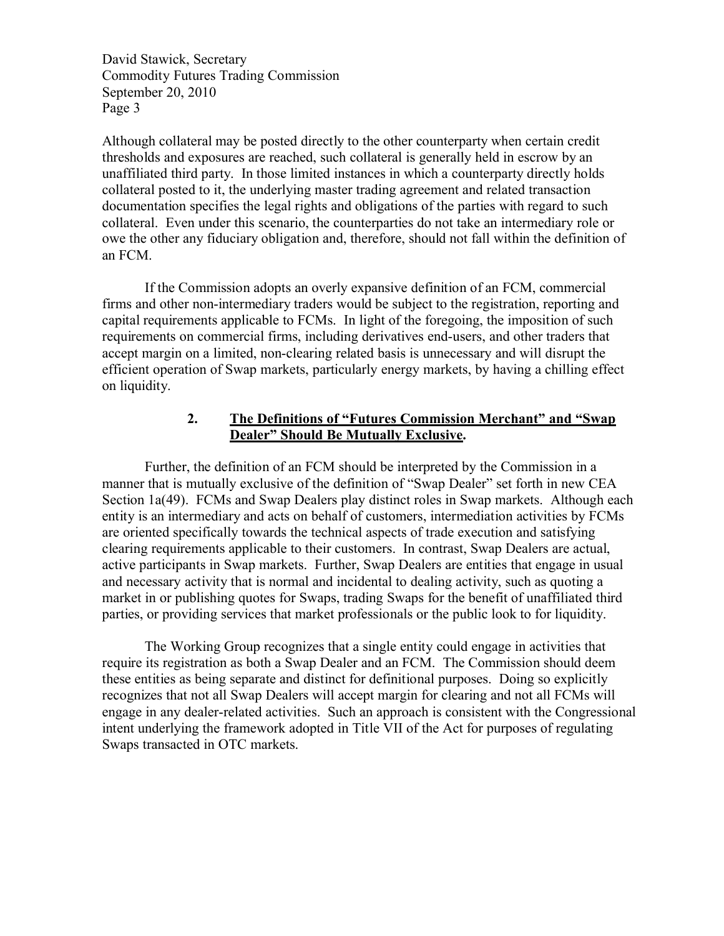David Stawick, Secretary Commodity Futures Trading Commission September 20, 2010 Page 3

Although collateral may be posted directly to the other counterparty when certain credit thresholds and exposures are reached, such collateral is generally held in escrow by an unaffiliated third party. In those limited instances in which a counterparty directly holds collateral posted to it, the underlying master trading agreement and related transaction documentation specifies the legal rights and obligations of the parties with regard to such collateral. Even under this scenario, the counterparties do not take an intermediary role or owe the other any fiduciary obligation and, therefore, should not fall within the definition of an FCM.

If the Commission adopts an overly expansive definition of an FCM, commercial firms and other non-intermediary traders would be subject to the registration, reporting and capital requirements applicable to FCMs. In light of the foregoing, the imposition of such requirements on commercial firms, including derivatives end-users, and other traders that accept margin on a limited, non-clearing related basis is unnecessary and will disrupt the efficient operation of Swap markets, particularly energy markets, by having a chilling effect on liquidity.

# **2. The Definitions of "Futures Commission Merchant" and "Swap Dealer" Should Be Mutually Exclusive.**

Further, the definition of an FCM should be interpreted by the Commission in a manner that is mutually exclusive of the definition of "Swap Dealer" set forth in new CEA Section 1a(49). FCMs and Swap Dealers play distinct roles in Swap markets. Although each entity is an intermediary and acts on behalf of customers, intermediation activities by FCMs are oriented specifically towards the technical aspects of trade execution and satisfying clearing requirements applicable to their customers. In contrast, Swap Dealers are actual, active participants in Swap markets. Further, Swap Dealers are entities that engage in usual and necessary activity that is normal and incidental to dealing activity, such as quoting a market in or publishing quotes for Swaps, trading Swaps for the benefit of unaffiliated third parties, or providing services that market professionals or the public look to for liquidity.

The Working Group recognizes that a single entity could engage in activities that require its registration as both a Swap Dealer and an FCM. The Commission should deem these entities as being separate and distinct for definitional purposes. Doing so explicitly recognizes that not all Swap Dealers will accept margin for clearing and not all FCMs will engage in any dealer-related activities. Such an approach is consistent with the Congressional intent underlying the framework adopted in Title VII of the Act for purposes of regulating Swaps transacted in OTC markets.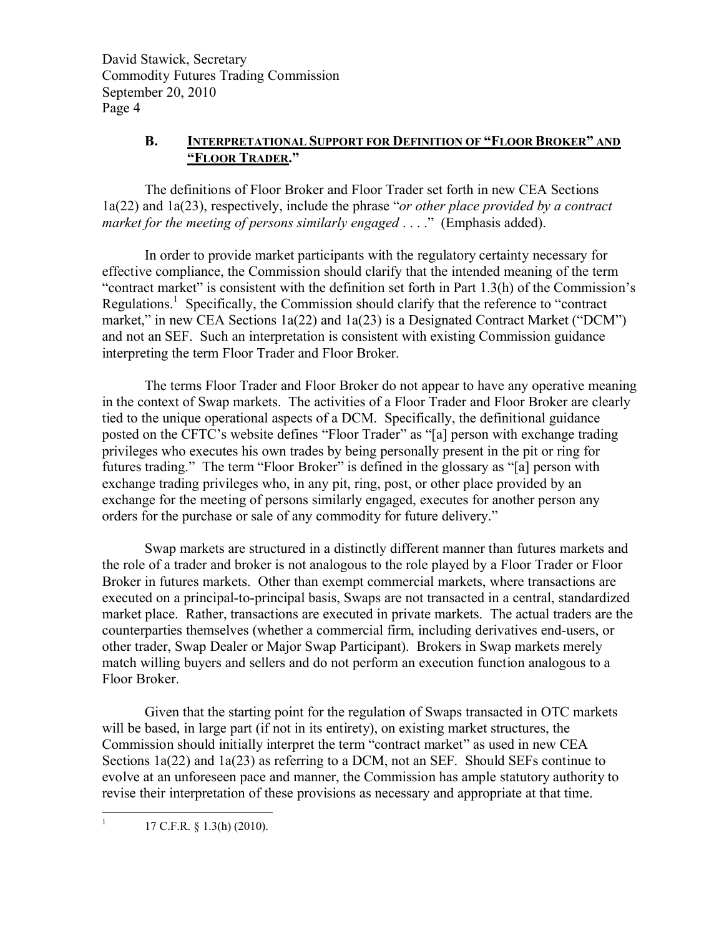David Stawick, Secretary Commodity Futures Trading Commission September 20, 2010 Page 4

# **B. INTERPRETATIONAL SUPPORT FOR DEFINITION OF "FLOOR BROKER" AND "FLOOR TRADER."**

The definitions of Floor Broker and Floor Trader set forth in new CEA Sections 1a(22) and 1a(23), respectively, include the phrase "*or other place provided by a contract market for the meeting of persons similarly engaged* . . . ." (Emphasis added).

In order to provide market participants with the regulatory certainty necessary for effective compliance, the Commission should clarify that the intended meaning of the term "contract market" is consistent with the definition set forth in Part 1.3(h) of the Commission's Regulations.<sup>1</sup> Specifically, the Commission should clarify that the reference to "contract market," in new CEA Sections 1a(22) and 1a(23) is a Designated Contract Market ("DCM") and not an SEF. Such an interpretation is consistent with existing Commission guidance interpreting the term Floor Trader and Floor Broker.

The terms Floor Trader and Floor Broker do not appear to have any operative meaning in the context of Swap markets. The activities of a Floor Trader and Floor Broker are clearly tied to the unique operational aspects of a DCM. Specifically, the definitional guidance posted on the CFTC's website defines "Floor Trader" as "[a] person with exchange trading privileges who executes his own trades by being personally present in the pit or ring for futures trading." The term "Floor Broker" is defined in the glossary as "[a] person with exchange trading privileges who, in any pit, ring, post, or other place provided by an exchange for the meeting of persons similarly engaged, executes for another person any orders for the purchase or sale of any commodity for future delivery."

Swap markets are structured in a distinctly different manner than futures markets and the role of a trader and broker is not analogous to the role played by a Floor Trader or Floor Broker in futures markets. Other than exempt commercial markets, where transactions are executed on a principal-to-principal basis, Swaps are not transacted in a central, standardized market place. Rather, transactions are executed in private markets. The actual traders are the counterparties themselves (whether a commercial firm, including derivatives end-users, or other trader, Swap Dealer or Major Swap Participant). Brokers in Swap markets merely match willing buyers and sellers and do not perform an execution function analogous to a Floor Broker.

Given that the starting point for the regulation of Swaps transacted in OTC markets will be based, in large part (if not in its entirety), on existing market structures, the Commission should initially interpret the term "contract market" as used in new CEA Sections 1a(22) and 1a(23) as referring to a DCM, not an SEF. Should SEFs continue to evolve at an unforeseen pace and manner, the Commission has ample statutory authority to revise their interpretation of these provisions as necessary and appropriate at that time.

17 C.F.R. § 1.3(h) (2010).

1